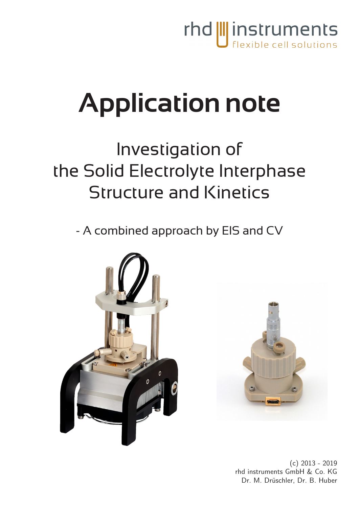

# **Application note**

# Investigation of the Solid Electrolyte Interphase Structure and Kinetics

- A combined approach by EIS and CV





(c) 2013 - 2019 rhd instruments GmbH & Co. KG Dr. M. Drüschler, Dr. B. Huber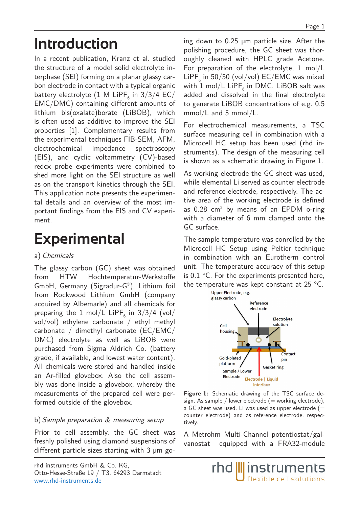# **Introduction**

In a recent publication, Kranz et al. studied the structure of a model solid electrolyte interphase (SEI) forming on a planar glassy carbon electrode in contact with a typical organic battery electrolyte (1 M LiPF $_{\rm 6}$  in 3/3/4 EC/ EMC/DMC) containing different amounts of lithium bis(oxalate)borate (LiBOB), which is often used as additive to improve the SEI properties [1]. Complementary results from the experimental techniques FIB-SEM, AFM, electrochemical impedance spectroscopy (EIS), and cyclic voltammetry (CV)-based redox probe experiments were combined to shed more light on the SEI structure as well as on the transport kinetics through the SEI. This application note presents the experimental details and an overview of the most important findings from the EIS and CV experiment.

## **Experimental**

#### a) Chemicals

The glassy carbon (GC) sheet was obtained from HTW Hochtemperatur-Werkstoffe GmbH, Germany (Sigradur-G®), Lithium foil from Rockwood Lithium GmbH (company acquired by Albemarle) and all chemicals for preparing the  $1$  mol/L LiPF $_{\rm 6}$  in 3/3/4 (vol/ vol/vol) ethylene carbonate / ethyl methyl carbonate / dimethyl carbonate (EC/EMC/ DMC) electrolyte as well as LiBOB were purchased from Sigma Aldrich Co. (battery grade, if available, and lowest water content). All chemicals were stored and handled inside an Ar-filled glovebox. Also the cell assembly was done inside a glovebox, whereby the measurements of the prepared cell were performed outside of the glovebox.

#### b) Sample preparation & measuring setup

Prior to cell assembly, the GC sheet was freshly polished using diamond suspensions of different particle sizes starting with 3 µm going down to 0.25 µm particle size. After the polishing procedure, the GC sheet was thoroughly cleaned with HPLC grade Acetone. For preparation of the electrolyte, 1 mol/L  $L \text{iPF}_6$  in 50/50 (vol/vol) EC/EMC was mixed with 1 mol/L LiPF $_{\rm 6}$  in DMC. LiBOB salt was added and dissolved in the final electrolyte to generate LiBOB concentrations of e.g. 0.5 mmol/L and 5 mmol/L.

For electrochemical measurements, a TSC surface measuring cell in combination with a Microcell HC setup has been used (rhd instruments). The design of the measuring cell is shown as a schematic drawing in Figure 1.

As working electrode the GC sheet was used, while elemental Li served as counter electrode and reference electrode, respectively. The active area of the working electrode is defined as  $0.28$  cm<sup>2</sup> by means of an EPDM o-ring with a diameter of 6 mm clamped onto the GC surface.

The sample temperature was conrolled by the Microcell HC Setup using Peltier technique in combination with an Eurotherm control unit. The temperature accuracy of this setup is  $0.1 \text{ }^{\circ}$ C. For the experiments presented here, the temperature was kept constant at 25 °C.



**Figure 1:** Schematic drawing of the TSC surface design. As sample / lower electrode  $(=$  working electrode), a GC sheet was used. Li was used as upper electrode  $(=$ counter electrode) and as reference electrode, respectively.

A Metrohm Multi-Channel potentiostat/galvanostat equipped with a FRA32-module

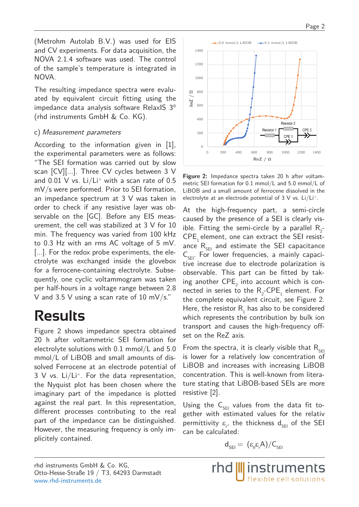(Metrohm Autolab B.V.) was used for EIS and CV experiments. For data acquisition, the NOVA 2.1.4 software was used. The control of the sample's temperature is integrated in NOVA.

The resulting impedance spectra were evaluated by equivalent circuit fitting using the impedance data analysis software RelaxIS 3® (rhd instruments GmbH & Co. KG).

#### c) Measurement parameters

According to the information given in [1], the experimental parameters were as follows: "The SEI formation was carried out by slow scan [CV][...]. Three CV cycles between 3 V and  $0.01$  V vs. Li/Li<sup>+</sup> with a scan rate of  $0.5$ mV/s were performed. Prior to SEI formation, an impedance spectrum at 3 V was taken in order to check if any resistive layer was observable on the [GC]. Before any EIS measurement, the cell was stabilized at 3 V for 10 min. The frequency was varied from 100 kHz to 0.3 Hz with an rms AC voltage of 5 mV. [...]. For the redox probe experiments, the electrolyte was exchanged inside the glovebox for a ferrocene-containing electrolyte. Subsequently, one cyclic voltammogram was taken per half-hours in a voltage range between 2.8 V and 3.5 V using a scan rate of 10 mV/s."

# **Results**

Figure 2 shows impedance spectra obtained 20 h after voltammetric SEI formation for electrolyte solutions with 0.1 mmol/L and 5.0 mmol/L of LiBOB and small amounts of dissolved Ferrocene at an electrode potential of 3 V vs. Li/Li+. For the data representation, the Nyquist plot has been chosen where the imaginary part of the impedance is plotted against the real part. In this representation, different processes contributing to the real part of the impedance can be distinguished. However, the measuring frequency is only implicitely contained.



**Figure 2:** Impedance spectra taken 20 h after voltammetric SEI formation for 0.1 mmol/L and 5.0 mmol/L of LiBOB and a small amount of ferrocene dissolved in the electrolyte at an electrode potential of  $3 \text{ V}$  vs. Li/Li<sup>+</sup>.

At the high-frequency part, a semi-circle caused by the presence of a SEI is clearly visible. Fitting the semi-circle by a parallel  $R_{2}$ -CPE<sub>1</sub> element, one can extract the SEI resistance  $R_{\text{SEI}}$  and estimate the SEI capacitance  $C_{\text{SET}}$ . For lower frequencies, a mainly capacitive increase due to electrode polarization is observable. This part can be fitted by taking another  $\mathsf{CPE}_2$  into account which is connected in series to the  $R_2$ -CPE<sub>1</sub> element. For the complete equivalent circuit, see Figure 2. Here, the resistor  $R_1$  has also to be considered which represents the contribution by bulk ion transport and causes the high-frequency offset on the ReZ axis.

From the spectra, it is clearly visible that  $R_{\text{SEI}}$ is lower for a relatively low concentration of LiBOB and increases with increasing LiBOB concentration. This is well-known from literature stating that LiBOB-based SEIs are more resistive [2].

Using the  $C_{\text{SEI}}$  values from the data fit together with estimated values for the relativ permittivity  $\varepsilon_{r}$ , the thickness  $d_{\text{SEI}}$  of the SEI can be calculated:

$$
d_{\text{sel}} = \, (\epsilon_{_0} \epsilon_{_r} A)/C_{_{\text{SEI}}}
$$

rhd **III** instruments

flexible cell solutions